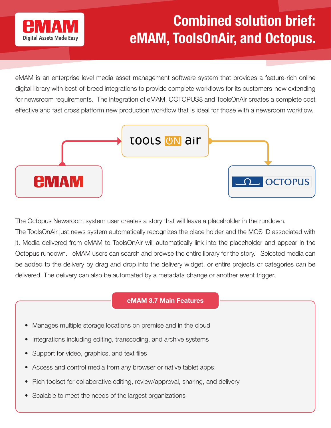

## Combined solution brief: eMAM, ToolsOnAir, and Octopus.

eMAM is an enterprise level media asset management software system that provides a feature-rich online digital library with best-of-breed integrations to provide complete workflows for its customers-now extending for newsroom requirements. The integration of eMAM, OCTOPUS8 and ToolsOnAir creates a complete cost effective and fast cross platform new production workflow that is ideal for those with a newsroom workflow.



The Octopus Newsroom system user creates a story that will leave a placeholder in the rundown.

The ToolsOnAir just news system automatically recognizes the place holder and the MOS ID associated with it. Media delivered from eMAM to ToolsOnAir will automatically link into the placeholder and appear in the Octopus rundown. eMAM users can search and browse the entire library for the story. Selected media can be added to the delivery by drag and drop into the delivery widget, or entire projects or categories can be delivered. The delivery can also be automated by a metadata change or another event trigger.

## eMAM 3.7 Main Features

- Manages multiple storage locations on premise and in the cloud
- Integrations including editing, transcoding, and archive systems
- Support for video, graphics, and text files
- Access and control media from any browser or native tablet apps.
- Rich toolset for collaborative editing, review/approval, sharing, and delivery
- Scalable to meet the needs of the largest organizations